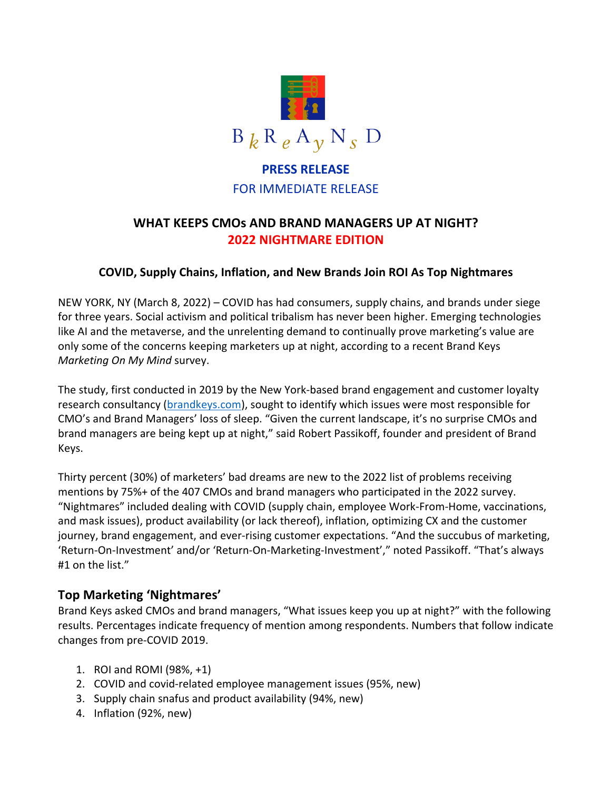

# **PRESS RELEASE** FOR IMMEDIATE RELEASE

# **WHAT KEEPS CMOs AND BRAND MANAGERS UP AT NIGHT? 2022 NIGHTMARE EDITION**

### **COVID, Supply Chains, Inflation, and New Brands Join ROI As Top Nightmares**

NEW YORK, NY (March 8, 2022) – COVID has had consumers, supply chains, and brands under siege for three years. Social activism and political tribalism has never been higher. Emerging technologies like AI and the metaverse, and the unrelenting demand to continually prove marketing's value are only some of the concerns keeping marketers up at night, according to a recent Brand Keys *Marketing On My Mind* survey.

The study, first conducted in 2019 by the New York-based brand engagement and customer loyalty research consultancy (brandkeys.com), sought to identify which issues were most responsible for CMO's and Brand Managers' loss of sleep. "Given the current landscape, it's no surprise CMOs and brand managers are being kept up at night," said Robert Passikoff, founder and president of Brand Keys.

Thirty percent (30%) of marketers' bad dreams are new to the 2022 list of problems receiving mentions by 75%+ of the 407 CMOs and brand managers who participated in the 2022 survey. "Nightmares" included dealing with COVID (supply chain, employee Work-From-Home, vaccinations, and mask issues), product availability (or lack thereof), inflation, optimizing CX and the customer journey, brand engagement, and ever-rising customer expectations. "And the succubus of marketing, 'Return-On-Investment' and/or 'Return-On-Marketing-Investment'," noted Passikoff. "That's always #1 on the list."

## **Top Marketing 'Nightmares'**

Brand Keys asked CMOs and brand managers, "What issues keep you up at night?" with the following results. Percentages indicate frequency of mention among respondents. Numbers that follow indicate changes from pre-COVID 2019.

- 1. ROI and ROMI (98%, +1)
- 2. COVID and covid-related employee management issues (95%, new)
- 3. Supply chain snafus and product availability (94%, new)
- 4. Inflation (92%, new)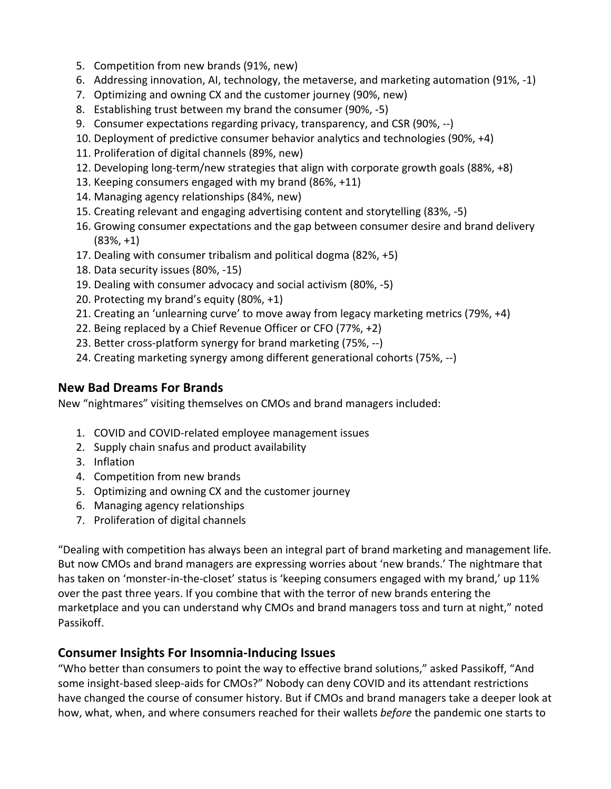- 5. Competition from new brands (91%, new)
- 6. Addressing innovation, AI, technology, the metaverse, and marketing automation (91%, -1)
- 7. Optimizing and owning CX and the customer journey (90%, new)
- 8. Establishing trust between my brand the consumer (90%, -5)
- 9. Consumer expectations regarding privacy, transparency, and CSR (90%, --)
- 10. Deployment of predictive consumer behavior analytics and technologies (90%, +4)
- 11. Proliferation of digital channels (89%, new)
- 12. Developing long-term/new strategies that align with corporate growth goals (88%, +8)
- 13. Keeping consumers engaged with my brand (86%, +11)
- 14. Managing agency relationships (84%, new)
- 15. Creating relevant and engaging advertising content and storytelling (83%, -5)
- 16. Growing consumer expectations and the gap between consumer desire and brand delivery (83%, +1)
- 17. Dealing with consumer tribalism and political dogma (82%, +5)
- 18. Data security issues (80%, -15)
- 19. Dealing with consumer advocacy and social activism (80%, -5)
- 20. Protecting my brand's equity (80%, +1)
- 21. Creating an 'unlearning curve' to move away from legacy marketing metrics (79%, +4)
- 22. Being replaced by a Chief Revenue Officer or CFO (77%, +2)
- 23. Better cross-platform synergy for brand marketing (75%, --)
- 24. Creating marketing synergy among different generational cohorts (75%, --)

# **New Bad Dreams For Brands**

New "nightmares" visiting themselves on CMOs and brand managers included:

- 1. COVID and COVID-related employee management issues
- 2. Supply chain snafus and product availability
- 3. Inflation
- 4. Competition from new brands
- 5. Optimizing and owning CX and the customer journey
- 6. Managing agency relationships
- 7. Proliferation of digital channels

"Dealing with competition has always been an integral part of brand marketing and management life. But now CMOs and brand managers are expressing worries about 'new brands.' The nightmare that has taken on 'monster-in-the-closet' status is 'keeping consumers engaged with my brand,' up 11% over the past three years. If you combine that with the terror of new brands entering the marketplace and you can understand why CMOs and brand managers toss and turn at night," noted Passikoff.

# **Consumer Insights For Insomnia-Inducing Issues**

"Who better than consumers to point the way to effective brand solutions," asked Passikoff, "And some insight-based sleep-aids for CMOs?" Nobody can deny COVID and its attendant restrictions have changed the course of consumer history. But if CMOs and brand managers take a deeper look at how, what, when, and where consumers reached for their wallets *before* the pandemic one starts to